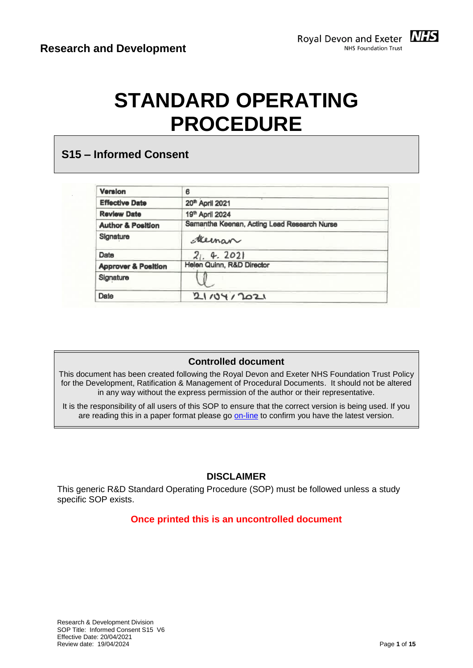

# **STANDARD OPERATING PROCEDURE**

## **S15 – Informed Consent**

| Version                        | 6                                           |  |
|--------------------------------|---------------------------------------------|--|
| <b>Effective Date</b>          | 20th April 2021                             |  |
| <b>Review Date</b>             | 19th April 2024                             |  |
| <b>Author &amp; Position</b>   | Samantha Keenan, Acting Lead Research Nurse |  |
| Signature                      | Meman                                       |  |
| Date                           | 21.4.2021                                   |  |
| <b>Approver &amp; Position</b> | Helen Quinn, R&D Director                   |  |
| Signature                      |                                             |  |
| Date                           | 2110412021                                  |  |

#### **Controlled document**

This document has been created following the Royal Devon and Exeter NHS Foundation Trust Policy for the Development, Ratification & Management of Procedural Documents. It should not be altered in any way without the express permission of the author or their representative.

It is the responsibility of all users of this SOP to ensure that the correct version is being used. If you are reading this in a paper format please go [on-line](https://rderesearch.co.uk/) to confirm you have the latest version.

#### **DISCLAIMER**

This generic R&D Standard Operating Procedure (SOP) must be followed unless a study specific SOP exists.

#### **Once printed this is an uncontrolled document**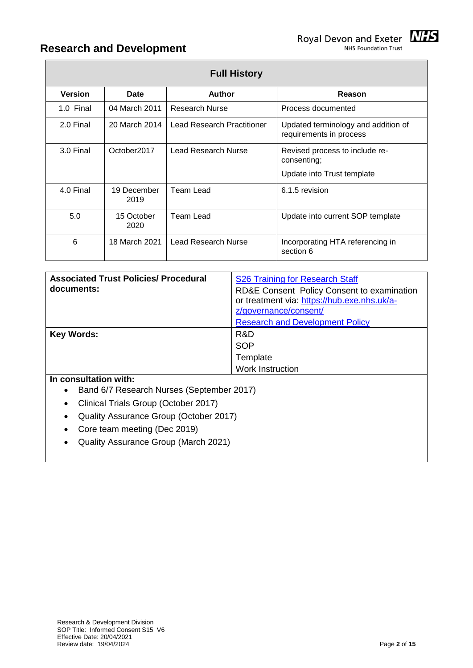| <b>Full History</b> |                |                         |                            |                                                                             |
|---------------------|----------------|-------------------------|----------------------------|-----------------------------------------------------------------------------|
|                     | <b>Version</b> | Date                    | <b>Author</b>              | Reason                                                                      |
|                     | 1.0 Final      | 04 March 2011           | <b>Research Nurse</b>      | Process documented                                                          |
|                     | 2.0 Final      | 20 March 2014           | Lead Research Practitioner | Updated terminology and addition of<br>requirements in process              |
|                     | 3.0 Final      | October <sub>2017</sub> | Lead Research Nurse        | Revised process to include re-<br>consenting;<br>Update into Trust template |
|                     | 4.0 Final      | 19 December<br>2019     | Team Lead                  | 6.1.5 revision                                                              |
|                     | 5.0            | 15 October<br>2020      | Team Lead                  | Update into current SOP template                                            |
|                     | 6              | 18 March 2021           | Lead Research Nurse        | Incorporating HTA referencing in<br>section 6                               |

| <b>Associated Trust Policies/ Procedural</b><br>documents: | S26 Training for Research Staff<br>RD&E Consent Policy Consent to examination<br>or treatment via: https://hub.exe.nhs.uk/a-<br>z/governance/consent/ |
|------------------------------------------------------------|-------------------------------------------------------------------------------------------------------------------------------------------------------|
|                                                            | <b>Research and Development Policy</b>                                                                                                                |
| <b>Key Words:</b>                                          | R&D                                                                                                                                                   |
|                                                            | <b>SOP</b>                                                                                                                                            |
|                                                            | Template                                                                                                                                              |
|                                                            | <b>Work Instruction</b>                                                                                                                               |
| In consultation with:                                      |                                                                                                                                                       |

- Band 6/7 Research Nurses (September 2017)
- Clinical Trials Group (October 2017)
- Quality Assurance Group (October 2017)
- Core team meeting (Dec 2019)
- Quality Assurance Group (March 2021)

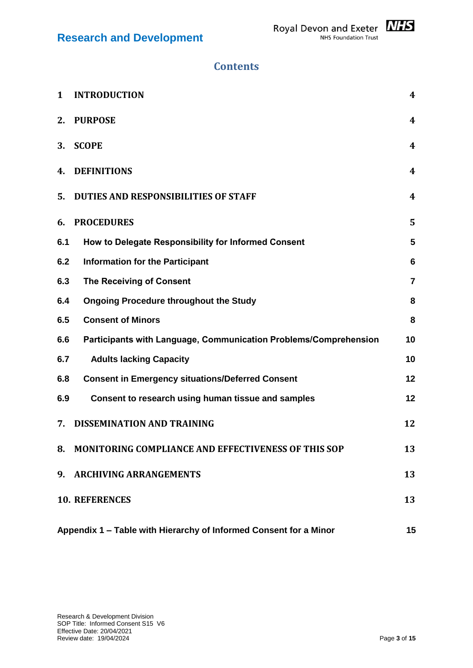

| 1   | <b>INTRODUCTION</b>                                                     | $\boldsymbol{4}$ |  |
|-----|-------------------------------------------------------------------------|------------------|--|
| 2.  | <b>PURPOSE</b>                                                          | 4                |  |
| 3.  | <b>SCOPE</b>                                                            | 4                |  |
| 4.  | <b>DEFINITIONS</b>                                                      | $\boldsymbol{4}$ |  |
| 5.  | <b>DUTIES AND RESPONSIBILITIES OF STAFF</b>                             | 4                |  |
| 6.  | <b>PROCEDURES</b>                                                       | 5                |  |
| 6.1 | How to Delegate Responsibility for Informed Consent                     | 5                |  |
| 6.2 | <b>Information for the Participant</b>                                  | $6\phantom{1}6$  |  |
| 6.3 | <b>The Receiving of Consent</b>                                         | $\overline{7}$   |  |
| 6.4 | <b>Ongoing Procedure throughout the Study</b>                           | 8                |  |
| 6.5 | <b>Consent of Minors</b>                                                | 8                |  |
| 6.6 | Participants with Language, Communication Problems/Comprehension        | 10               |  |
| 6.7 | <b>Adults lacking Capacity</b>                                          | 10               |  |
| 6.8 | <b>Consent in Emergency situations/Deferred Consent</b>                 | 12               |  |
| 6.9 | Consent to research using human tissue and samples                      | 12               |  |
| 7.  | <b>DISSEMINATION AND TRAINING</b>                                       | 12               |  |
| 8.  | <b>MONITORING COMPLIANCE AND EFFECTIVENESS OF THIS SOP</b>              | 13               |  |
| 9.  | <b>ARCHIVING ARRANGEMENTS</b>                                           | 13               |  |
|     | <b>10. REFERENCES</b>                                                   | 13               |  |
|     | Appendix 1 - Table with Hierarchy of Informed Consent for a Minor<br>15 |                  |  |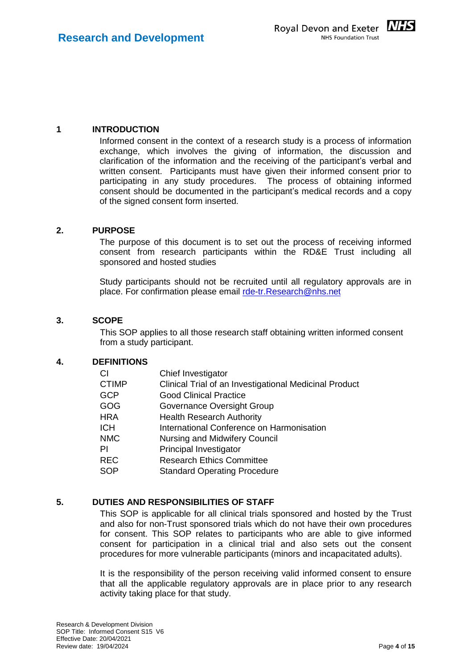

#### <span id="page-3-0"></span>**1 INTRODUCTION**

Informed consent in the context of a research study is a process of information exchange, which involves the giving of information, the discussion and clarification of the information and the receiving of the participant's verbal and written consent. Participants must have given their informed consent prior to participating in any study procedures. The process of obtaining informed consent should be documented in the participant's medical records and a copy of the signed consent form inserted.

#### <span id="page-3-1"></span>**2. PURPOSE**

The purpose of this document is to set out the process of receiving informed consent from research participants within the RD&E Trust including all sponsored and hosted studies

Study participants should not be recruited until all regulatory approvals are in place. For confirmation please email [rde-tr.Research@nhs.net](mailto:rde-tr.Research@nhs.net)

#### <span id="page-3-2"></span>**3. SCOPE**

This SOP applies to all those research staff obtaining written informed consent from a study participant.

#### <span id="page-3-3"></span>**4. DEFINITIONS**

| СI           | Chief Investigator                                     |
|--------------|--------------------------------------------------------|
| <b>CTIMP</b> | Clinical Trial of an Investigational Medicinal Product |
| <b>GCP</b>   | <b>Good Clinical Practice</b>                          |
| GOG          | Governance Oversight Group                             |
| HRA          | <b>Health Research Authority</b>                       |
| <b>ICH</b>   | International Conference on Harmonisation              |
| <b>NMC</b>   | Nursing and Midwifery Council                          |
| PI           | Principal Investigator                                 |
| <b>REC</b>   | <b>Research Ethics Committee</b>                       |
| <b>SOP</b>   | <b>Standard Operating Procedure</b>                    |
|              |                                                        |

#### <span id="page-3-4"></span>**5. DUTIES AND RESPONSIBILITIES OF STAFF**

This SOP is applicable for all clinical trials sponsored and hosted by the Trust and also for non-Trust sponsored trials which do not have their own procedures for consent. This SOP relates to participants who are able to give informed consent for participation in a clinical trial and also sets out the consent procedures for more vulnerable participants (minors and incapacitated adults).

It is the responsibility of the person receiving valid informed consent to ensure that all the applicable regulatory approvals are in place prior to any research activity taking place for that study.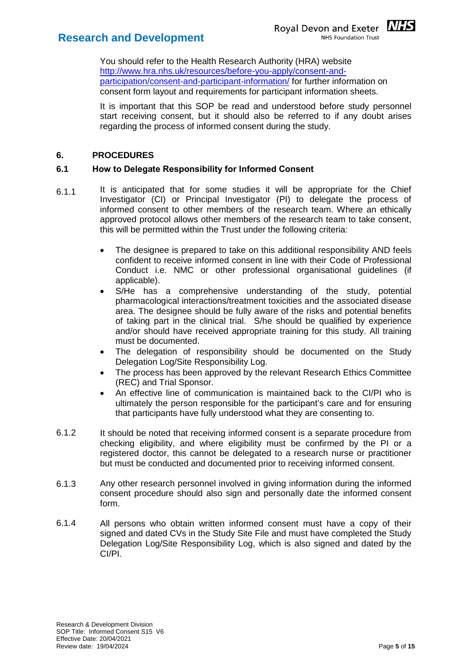

You should refer to the Health Research Authority (HRA) website [http://www.hra.nhs.uk/resources/before-you-apply/consent-and](http://www.hra.nhs.uk/resources/before-you-apply/consent-and-participation/consent-and-participant-information/)[participation/consent-and-participant-information/](http://www.hra.nhs.uk/resources/before-you-apply/consent-and-participation/consent-and-participant-information/) for further information on consent form layout and requirements for participant information sheets.

It is important that this SOP be read and understood before study personnel start receiving consent, but it should also be referred to if any doubt arises regarding the process of informed consent during the study.

#### <span id="page-4-0"></span>**6. PROCEDURES**

#### <span id="page-4-1"></span>**6.1 How to Delegate Responsibility for Informed Consent**

- 6.1.1 It is anticipated that for some studies it will be appropriate for the Chief Investigator (CI) or Principal Investigator (PI) to delegate the process of informed consent to other members of the research team. Where an ethically approved protocol allows other members of the research team to take consent, this will be permitted within the Trust under the following criteria:
	- The designee is prepared to take on this additional responsibility AND feels confident to receive informed consent in line with their Code of Professional Conduct i.e. NMC or other professional organisational guidelines (if applicable).
	- S/He has a comprehensive understanding of the study, potential pharmacological interactions/treatment toxicities and the associated disease area. The designee should be fully aware of the risks and potential benefits of taking part in the clinical trial. S/he should be qualified by experience and/or should have received appropriate training for this study. All training must be documented.
	- The delegation of responsibility should be documented on the Study Delegation Log/Site Responsibility Log.
	- The process has been approved by the relevant Research Ethics Committee (REC) and Trial Sponsor.
	- An effective line of communication is maintained back to the CI/PI who is ultimately the person responsible for the participant's care and for ensuring that participants have fully understood what they are consenting to.
- 6.1.2 It should be noted that receiving informed consent is a separate procedure from checking eligibility, and where eligibility must be confirmed by the PI or a registered doctor, this cannot be delegated to a research nurse or practitioner but must be conducted and documented prior to receiving informed consent.
- 6.1.3 Any other research personnel involved in giving information during the informed consent procedure should also sign and personally date the informed consent form.
- 6.1.4 All persons who obtain written informed consent must have a copy of their signed and dated CVs in the Study Site File and must have completed the Study Delegation Log/Site Responsibility Log, which is also signed and dated by the CI/PI.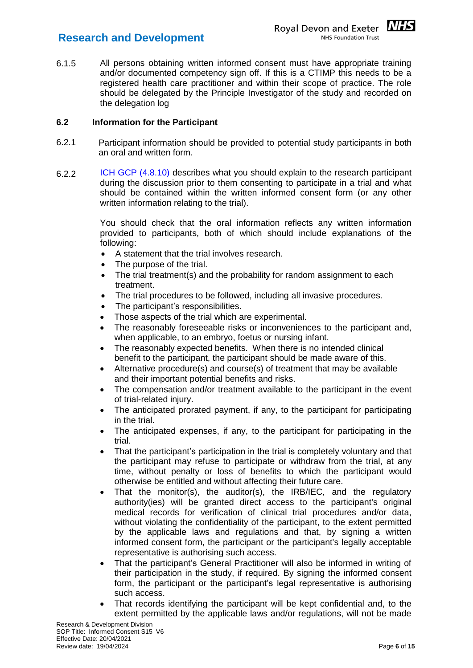

6.1.5 All persons obtaining written informed consent must have appropriate training and/or documented competency sign off. If this is a CTIMP this needs to be a registered health care practitioner and within their scope of practice. The role should be delegated by the Principle Investigator of the study and recorded on the delegation log

#### <span id="page-5-0"></span>**6.2 Information for the Participant**

- 6.2.1 Participant information should be provided to potential study participants in both an oral and written form.
- 6.2.2 [ICH GCP \(4.8.10\)](https://ichgcp.net/4-investigator) describes what you should explain to the research participant during the discussion prior to them consenting to participate in a trial and what should be contained within the written informed consent form (or any other written information relating to the trial).

You should check that the oral information reflects any written information provided to participants, both of which should include explanations of the following:

- A statement that the trial involves research.
- The purpose of the trial.
- The trial treatment(s) and the probability for random assignment to each treatment.
- The trial procedures to be followed, including all invasive procedures.
- The participant's responsibilities.
- Those aspects of the trial which are experimental.
- The reasonably foreseeable risks or inconveniences to the participant and, when applicable, to an embryo, foetus or nursing infant.
- The reasonably expected benefits. When there is no intended clinical benefit to the participant, the participant should be made aware of this.
- Alternative procedure(s) and course(s) of treatment that may be available and their important potential benefits and risks.
- The compensation and/or treatment available to the participant in the event of trial-related injury.
- The anticipated prorated payment, if any, to the participant for participating in the trial.
- The anticipated expenses, if any, to the participant for participating in the trial.
- That the participant's participation in the trial is completely voluntary and that the participant may refuse to participate or withdraw from the trial, at any time, without penalty or loss of benefits to which the participant would otherwise be entitled and without affecting their future care.
- That the monitor(s), the auditor(s), the  $IRB/IEC$ , and the regulatory authority(ies) will be granted direct access to the participant's original medical records for verification of clinical trial procedures and/or data, without violating the confidentiality of the participant, to the extent permitted by the applicable laws and regulations and that, by signing a written informed consent form, the participant or the participant's legally acceptable representative is authorising such access.
- That the participant's General Practitioner will also be informed in writing of their participation in the study, if required. By signing the informed consent form, the participant or the participant's legal representative is authorising such access.
- That records identifying the participant will be kept confidential and, to the extent permitted by the applicable laws and/or regulations, will not be made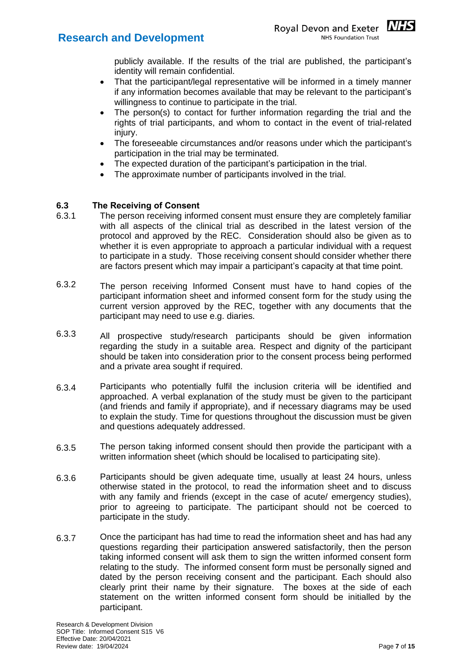

- That the participant/legal representative will be informed in a timely manner if any information becomes available that may be relevant to the participant's willingness to continue to participate in the trial.
- The person(s) to contact for further information regarding the trial and the rights of trial participants, and whom to contact in the event of trial-related injury.
- The foreseeable circumstances and/or reasons under which the participant's participation in the trial may be terminated.
- The expected duration of the participant's participation in the trial.
- The approximate number of participants involved in the trial.

#### <span id="page-6-0"></span>**6.3 The Receiving of Consent**

- 6.3.1 The person receiving informed consent must ensure they are completely familiar with all aspects of the clinical trial as described in the latest version of the protocol and approved by the REC. Consideration should also be given as to whether it is even appropriate to approach a particular individual with a request to participate in a study. Those receiving consent should consider whether there are factors present which may impair a participant's capacity at that time point.
- 6.3.2 The person receiving Informed Consent must have to hand copies of the participant information sheet and informed consent form for the study using the current version approved by the REC, together with any documents that the participant may need to use e.g. diaries.
- 6.3.3 All prospective study/research participants should be given information regarding the study in a suitable area. Respect and dignity of the participant should be taken into consideration prior to the consent process being performed and a private area sought if required.
- 6.3.4 Participants who potentially fulfil the inclusion criteria will be identified and approached. A verbal explanation of the study must be given to the participant (and friends and family if appropriate), and if necessary diagrams may be used to explain the study. Time for questions throughout the discussion must be given and questions adequately addressed.
- 6.3.5 The person taking informed consent should then provide the participant with a written information sheet (which should be localised to participating site).
- 6.3.6 Participants should be given adequate time, usually at least 24 hours, unless otherwise stated in the protocol, to read the information sheet and to discuss with any family and friends (except in the case of acute/ emergency studies), prior to agreeing to participate. The participant should not be coerced to participate in the study.
- 6.3.7 Once the participant has had time to read the information sheet and has had any questions regarding their participation answered satisfactorily, then the person taking informed consent will ask them to sign the written informed consent form relating to the study. The informed consent form must be personally signed and dated by the person receiving consent and the participant. Each should also clearly print their name by their signature. The boxes at the side of each statement on the written informed consent form should be initialled by the participant.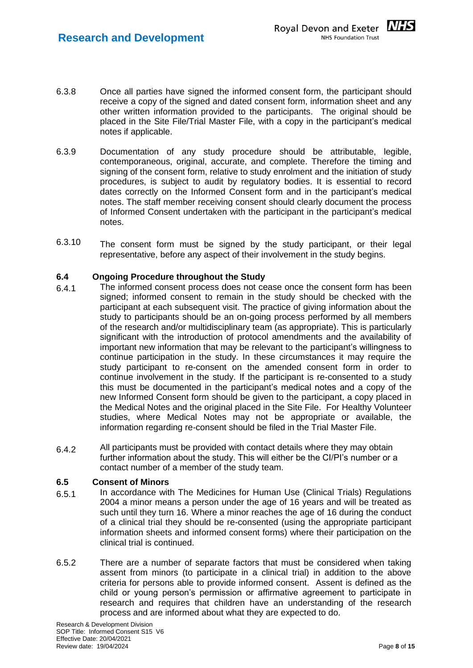

- 6.3.8 Once all parties have signed the informed consent form, the participant should receive a copy of the signed and dated consent form, information sheet and any other written information provided to the participants. The original should be placed in the Site File/Trial Master File, with a copy in the participant's medical notes if applicable.
- 6.3.9 Documentation of any study procedure should be attributable, legible, contemporaneous, original, accurate, and complete. Therefore the timing and signing of the consent form, relative to study enrolment and the initiation of study procedures, is subject to audit by regulatory bodies. It is essential to record dates correctly on the Informed Consent form and in the participant's medical notes. The staff member receiving consent should clearly document the process of Informed Consent undertaken with the participant in the participant's medical notes.
- 6.3.10 The consent form must be signed by the study participant, or their legal representative, before any aspect of their involvement in the study begins.

#### <span id="page-7-0"></span>**6.4 Ongoing Procedure throughout the Study**

- 6.4.1 The informed consent process does not cease once the consent form has been signed; informed consent to remain in the study should be checked with the participant at each subsequent visit. The practice of giving information about the study to participants should be an on-going process performed by all members of the research and/or multidisciplinary team (as appropriate). This is particularly significant with the introduction of protocol amendments and the availability of important new information that may be relevant to the participant's willingness to continue participation in the study. In these circumstances it may require the study participant to re-consent on the amended consent form in order to continue involvement in the study. If the participant is re-consented to a study this must be documented in the participant's medical notes and a copy of the new Informed Consent form should be given to the participant, a copy placed in the Medical Notes and the original placed in the Site File. For Healthy Volunteer studies, where Medical Notes may not be appropriate or available, the information regarding re-consent should be filed in the Trial Master File.
- 6.4.2 All participants must be provided with contact details where they may obtain further information about the study. This will either be the CI/PI's number or a contact number of a member of the study team.

#### <span id="page-7-1"></span>**6.5 Consent of Minors**

- 6.5.1 In accordance with The Medicines for Human Use (Clinical Trials) Regulations 2004 a minor means a person under the age of 16 years and will be treated as such until they turn 16. Where a minor reaches the age of 16 during the conduct of a clinical trial they should be re-consented (using the appropriate participant information sheets and informed consent forms) where their participation on the clinical trial is continued.
- 6.5.2 There are a number of separate factors that must be considered when taking assent from minors (to participate in a clinical trial) in addition to the above criteria for persons able to provide informed consent. Assent is defined as the child or young person's permission or affirmative agreement to participate in research and requires that children have an understanding of the research process and are informed about what they are expected to do.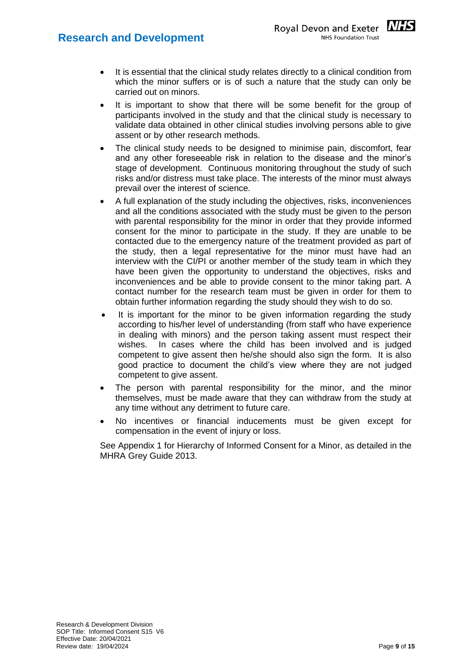- It is essential that the clinical study relates directly to a clinical condition from which the minor suffers or is of such a nature that the study can only be carried out on minors.
- It is important to show that there will be some benefit for the group of participants involved in the study and that the clinical study is necessary to validate data obtained in other clinical studies involving persons able to give assent or by other research methods.
- The clinical study needs to be designed to minimise pain, discomfort, fear and any other foreseeable risk in relation to the disease and the minor's stage of development. Continuous monitoring throughout the study of such risks and/or distress must take place. The interests of the minor must always prevail over the interest of science.
- A full explanation of the study including the objectives, risks, inconveniences and all the conditions associated with the study must be given to the person with parental responsibility for the minor in order that they provide informed consent for the minor to participate in the study. If they are unable to be contacted due to the emergency nature of the treatment provided as part of the study, then a legal representative for the minor must have had an interview with the CI/PI or another member of the study team in which they have been given the opportunity to understand the objectives, risks and inconveniences and be able to provide consent to the minor taking part. A contact number for the research team must be given in order for them to obtain further information regarding the study should they wish to do so.
- It is important for the minor to be given information regarding the study according to his/her level of understanding (from staff who have experience in dealing with minors) and the person taking assent must respect their wishes. In cases where the child has been involved and is judged competent to give assent then he/she should also sign the form. It is also good practice to document the child's view where they are not judged competent to give assent.
- The person with parental responsibility for the minor, and the minor themselves, must be made aware that they can withdraw from the study at any time without any detriment to future care.
- No incentives or financial inducements must be given except for compensation in the event of injury or loss.

See Appendix 1 for Hierarchy of Informed Consent for a Minor, as detailed in the MHRA Grey Guide 2013.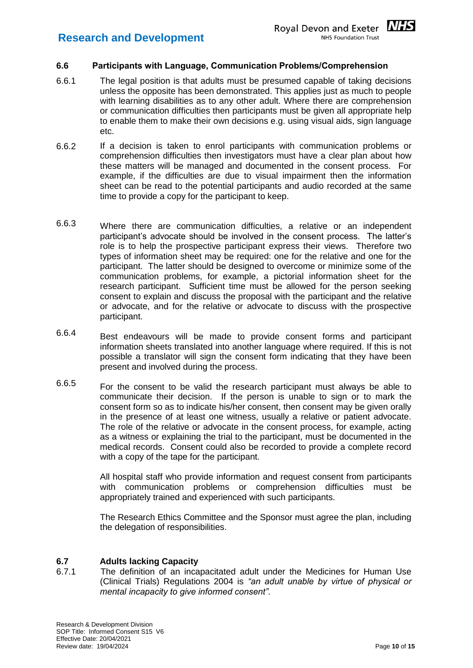<span id="page-9-0"></span>

- 6.6.1 The legal position is that adults must be presumed capable of taking decisions unless the opposite has been demonstrated. This applies just as much to people with learning disabilities as to any other adult. Where there are comprehension or communication difficulties then participants must be given all appropriate help to enable them to make their own decisions e.g. using visual aids, sign language etc.
- 6.6.2 If a decision is taken to enrol participants with communication problems or comprehension difficulties then investigators must have a clear plan about how these matters will be managed and documented in the consent process. For example, if the difficulties are due to visual impairment then the information sheet can be read to the potential participants and audio recorded at the same time to provide a copy for the participant to keep.
- 6.6.3 Where there are communication difficulties, a relative or an independent participant's advocate should be involved in the consent process. The latter's role is to help the prospective participant express their views. Therefore two types of information sheet may be required: one for the relative and one for the participant. The latter should be designed to overcome or minimize some of the communication problems, for example, a pictorial information sheet for the research participant. Sufficient time must be allowed for the person seeking consent to explain and discuss the proposal with the participant and the relative or advocate, and for the relative or advocate to discuss with the prospective participant.
- 6.6.4 Best endeavours will be made to provide consent forms and participant information sheets translated into another language where required. If this is not possible a translator will sign the consent form indicating that they have been present and involved during the process.
- 6.6.5 For the consent to be valid the research participant must always be able to communicate their decision. If the person is unable to sign or to mark the consent form so as to indicate his/her consent, then consent may be given orally in the presence of at least one witness, usually a relative or patient advocate. The role of the relative or advocate in the consent process, for example, acting as a witness or explaining the trial to the participant, must be documented in the medical records. Consent could also be recorded to provide a complete record with a copy of the tape for the participant.

All hospital staff who provide information and request consent from participants with communication problems or comprehension difficulties must be appropriately trained and experienced with such participants.

The Research Ethics Committee and the Sponsor must agree the plan, including the delegation of responsibilities.

#### <span id="page-9-1"></span>**6.7 Adults lacking Capacity**

6.7.1 The definition of an incapacitated adult under the Medicines for Human Use (Clinical Trials) Regulations 2004 is *"an adult unable by virtue of physical or mental incapacity to give informed consent"*.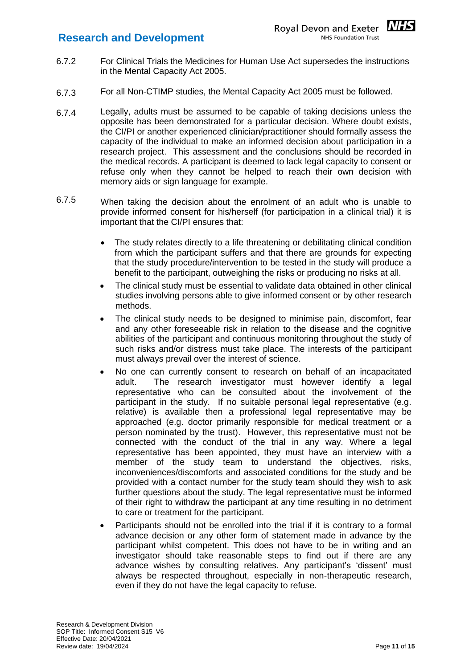- 6.7.2 For Clinical Trials the Medicines for Human Use Act supersedes the instructions in the Mental Capacity Act 2005.
- 6.7.3 For all Non-CTIMP studies, the Mental Capacity Act 2005 must be followed.
- 6.7.4 Legally, adults must be assumed to be capable of taking decisions unless the opposite has been demonstrated for a particular decision. Where doubt exists, the CI/PI or another experienced clinician/practitioner should formally assess the capacity of the individual to make an informed decision about participation in a research project. This assessment and the conclusions should be recorded in the medical records. A participant is deemed to lack legal capacity to consent or refuse only when they cannot be helped to reach their own decision with memory aids or sign language for example.
- 6.7.5 When taking the decision about the enrolment of an adult who is unable to provide informed consent for his/herself (for participation in a clinical trial) it is important that the CI/PI ensures that:
	- The study relates directly to a life threatening or debilitating clinical condition from which the participant suffers and that there are grounds for expecting that the study procedure/intervention to be tested in the study will produce a benefit to the participant, outweighing the risks or producing no risks at all.
	- The clinical study must be essential to validate data obtained in other clinical studies involving persons able to give informed consent or by other research methods.
	- The clinical study needs to be designed to minimise pain, discomfort, fear and any other foreseeable risk in relation to the disease and the cognitive abilities of the participant and continuous monitoring throughout the study of such risks and/or distress must take place. The interests of the participant must always prevail over the interest of science.
	- No one can currently consent to research on behalf of an incapacitated adult. The research investigator must however identify a legal representative who can be consulted about the involvement of the participant in the study. If no suitable personal legal representative (e.g. relative) is available then a professional legal representative may be approached (e.g. doctor primarily responsible for medical treatment or a person nominated by the trust). However, this representative must not be connected with the conduct of the trial in any way. Where a legal representative has been appointed, they must have an interview with a member of the study team to understand the objectives, risks, inconveniences/discomforts and associated conditions for the study and be provided with a contact number for the study team should they wish to ask further questions about the study. The legal representative must be informed of their right to withdraw the participant at any time resulting in no detriment to care or treatment for the participant.
	- Participants should not be enrolled into the trial if it is contrary to a formal advance decision or any other form of statement made in advance by the participant whilst competent. This does not have to be in writing and an investigator should take reasonable steps to find out if there are any advance wishes by consulting relatives. Any participant's 'dissent' must always be respected throughout, especially in non-therapeutic research, even if they do not have the legal capacity to refuse.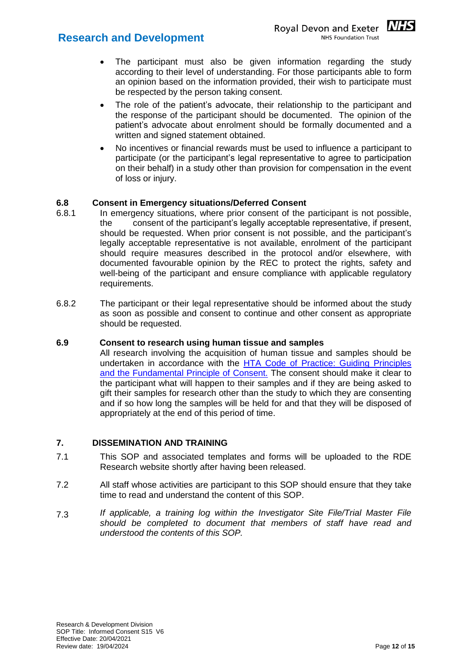- The participant must also be given information regarding the study according to their level of understanding. For those participants able to form an opinion based on the information provided, their wish to participate must be respected by the person taking consent.
- The role of the patient's advocate, their relationship to the participant and the response of the participant should be documented. The opinion of the patient's advocate about enrolment should be formally documented and a written and signed statement obtained.
- No incentives or financial rewards must be used to influence a participant to participate (or the participant's legal representative to agree to participation on their behalf) in a study other than provision for compensation in the event of loss or injury.

#### <span id="page-11-0"></span>**6.8 Consent in Emergency situations/Deferred Consent**

- 6.8.1 In emergency situations, where prior consent of the participant is not possible, the consent of the participant's legally acceptable representative, if present, should be requested. When prior consent is not possible, and the participant's legally acceptable representative is not available, enrolment of the participant should require measures described in the protocol and/or elsewhere, with documented favourable opinion by the REC to protect the rights, safety and well-being of the participant and ensure compliance with applicable regulatory requirements.
- 6.8.2 The participant or their legal representative should be informed about the study as soon as possible and consent to continue and other consent as appropriate should be requested.

#### <span id="page-11-1"></span>**6.9 Consent to research using human tissue and samples**

All research involving the acquisition of human tissue and samples should be undertaken in accordance with the [HTA Code of Practice: Guiding Principles](https://content.hta.gov.uk/sites/default/files/2020-11/Code%20A.pdf)  [and the Fundamental Principle of Consent.](https://content.hta.gov.uk/sites/default/files/2020-11/Code%20A.pdf) The consent should make it clear to the participant what will happen to their samples and if they are being asked to gift their samples for research other than the study to which they are consenting and if so how long the samples will be held for and that they will be disposed of appropriately at the end of this period of time.

#### <span id="page-11-2"></span>**7. DISSEMINATION AND TRAINING**

- 7.1 This SOP and associated templates and forms will be uploaded to the RDE Research website shortly after having been released.
- 7.2 All staff whose activities are participant to this SOP should ensure that they take time to read and understand the content of this SOP.
- 7.3 *If applicable, a training log within the Investigator Site File/Trial Master File should be completed to document that members of staff have read and understood the contents of this SOP.*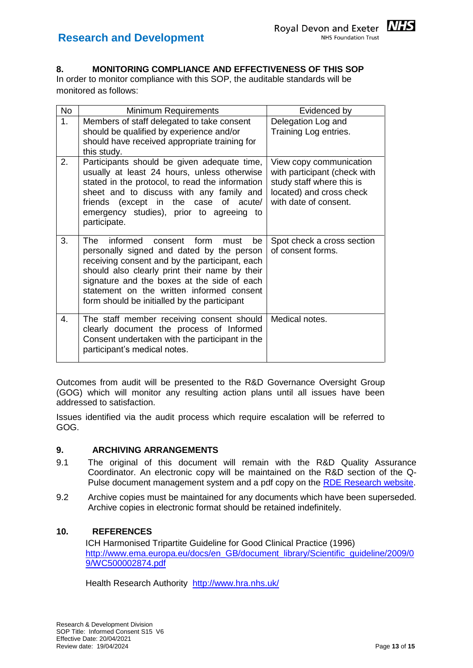

#### <span id="page-12-0"></span>**8. MONITORING COMPLIANCE AND EFFECTIVENESS OF THIS SOP**

In order to monitor compliance with this SOP, the auditable standards will be monitored as follows:

| <b>No</b>      | Minimum Requirements                                                                                                                                                                                                                                                                                                                   | Evidenced by                                                                                                                              |
|----------------|----------------------------------------------------------------------------------------------------------------------------------------------------------------------------------------------------------------------------------------------------------------------------------------------------------------------------------------|-------------------------------------------------------------------------------------------------------------------------------------------|
| 1 <sub>1</sub> | Members of staff delegated to take consent<br>should be qualified by experience and/or<br>should have received appropriate training for<br>this study.                                                                                                                                                                                 | Delegation Log and<br>Training Log entries.                                                                                               |
| 2.             | Participants should be given adequate time,<br>usually at least 24 hours, unless otherwise<br>stated in the protocol, to read the information<br>sheet and to discuss with any family and<br>friends (except in the case of acute/<br>emergency studies), prior to agreeing to<br>participate.                                         | View copy communication<br>with participant (check with<br>study staff where this is<br>located) and cross check<br>with date of consent. |
| 3.             | informed consent form<br>The<br>be<br>must<br>personally signed and dated by the person<br>receiving consent and by the participant, each<br>should also clearly print their name by their<br>signature and the boxes at the side of each<br>statement on the written informed consent<br>form should be initialled by the participant | Spot check a cross section<br>of consent forms.                                                                                           |
| $\mathbf{4}$ . | The staff member receiving consent should<br>clearly document the process of Informed<br>Consent undertaken with the participant in the<br>participant's medical notes.                                                                                                                                                                | Medical notes.                                                                                                                            |

Outcomes from audit will be presented to the R&D Governance Oversight Group (GOG) which will monitor any resulting action plans until all issues have been addressed to satisfaction.

Issues identified via the audit process which require escalation will be referred to GOG.

#### <span id="page-12-1"></span>**9. ARCHIVING ARRANGEMENTS**

- 9.1 The original of this document will remain with the R&D Quality Assurance Coordinator. An electronic copy will be maintained on the R&D section of the Q-Pulse document management system and a pdf copy on the [RDE Research website.](https://rderesearch.co.uk/)
- 9.2 Archive copies must be maintained for any documents which have been superseded. Archive copies in electronic format should be retained indefinitely.

#### <span id="page-12-2"></span>**10. REFERENCES**

ICH Harmonised Tripartite Guideline for Good Clinical Practice (1996) [http://www.ema.europa.eu/docs/en\\_GB/document\\_library/Scientific\\_guideline/2009/0](http://www.ema.europa.eu/docs/en_GB/document_library/Scientific_guideline/2009/09/WC500002874.pdf) [9/WC500002874.pdf](http://www.ema.europa.eu/docs/en_GB/document_library/Scientific_guideline/2009/09/WC500002874.pdf)

Health Research Authority <http://www.hra.nhs.uk/>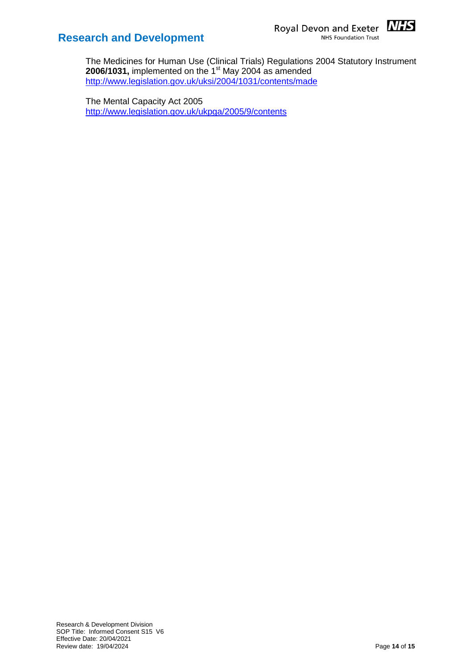



The Medicines for Human Use (Clinical Trials) Regulations 2004 Statutory Instrument **2006/1031, implemented on the 1<sup>st</sup> May 2004 as amended** <http://www.legislation.gov.uk/uksi/2004/1031/contents/made>

The Mental Capacity Act 2005 <http://www.legislation.gov.uk/ukpga/2005/9/contents>